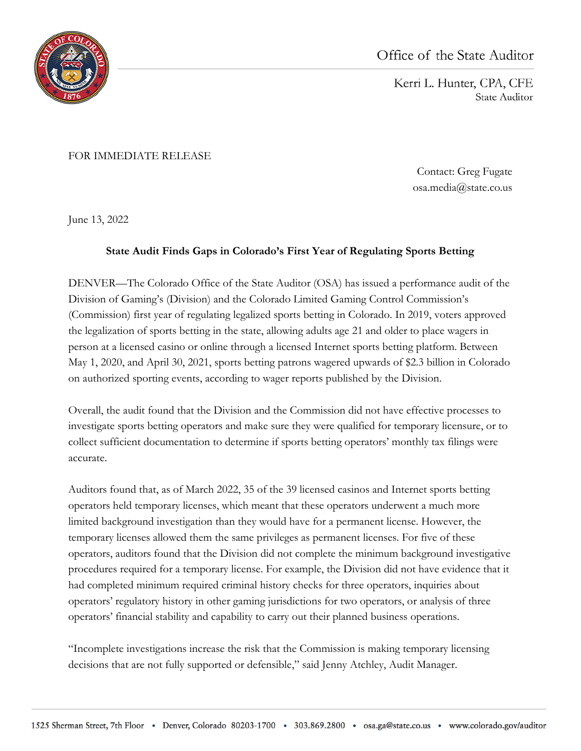

Kerri L. Hunter, CPA, CFE State Auditor

FOR IMMEDIATE RELEASE

Contact: Greg Fugate osa.media@state.co.us

June 13, 2022

## **State Audit Finds Gaps in Colorado's First Year of Regulating Sports Betting**

DENVER—The Colorado Office of the State Auditor (OSA) has issued a performance audit of the Division of Gaming's (Division) and the Colorado Limited Gaming Control Commission's (Commission) first year of regulating legalized sports betting in Colorado. In 2019, voters approved the legalization of sports betting in the state, allowing adults age 21 and older to place wagers in person at a licensed casino or online through a licensed Internet sports betting platform. Between May 1, 2020, and April 30, 2021, sports betting patrons wagered upwards of \$2.3 billion in Colorado on authorized sporting events, according to wager reports published by the Division.

Overall, the audit found that the Division and the Commission did not have effective processes to investigate sports betting operators and make sure they were qualified for temporary licensure, or to collect sufficient documentation to determine if sports betting operators' monthly tax filings were accurate.

Auditors found that, as of March 2022, 35 of the 39 licensed casinos and Internet sports betting operators held temporary licenses, which meant that these operators underwent a much more limited background investigation than they would have for a permanent license. However, the temporary licenses allowed them the same privileges as permanent licenses. For five of these operators, auditors found that the Division did not complete the minimum background investigative procedures required for a temporary license. For example, the Division did not have evidence that it had completed minimum required criminal history checks for three operators, inquiries about operators' regulatory history in other gaming jurisdictions for two operators, or analysis of three operators' financial stability and capability to carry out their planned business operations.

"Incomplete investigations increase the risk that the Commission is making temporary licensing decisions that are not fully supported or defensible," said Jenny Atchley, Audit Manager.